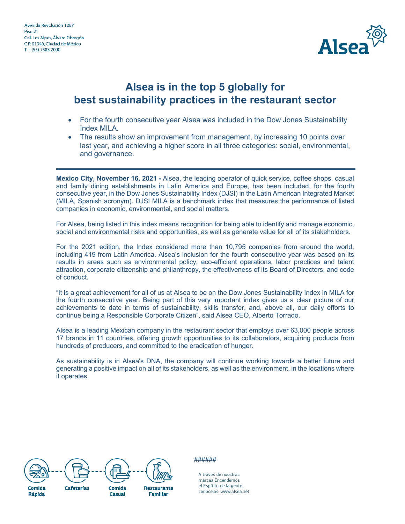

## **Alsea is in the top 5 globally for best sustainability practices in the restaurant sector**

- For the fourth consecutive year Alsea was included in the Dow Jones Sustainability Index MILA.
- The results show an improvement from management, by increasing 10 points over last year, and achieving a higher score in all three categories: social, environmental, and governance.

**Mexico City, November 16, 2021 -** Alsea, the leading operator of quick service, coffee shops, casual and family dining establishments in Latin America and Europe, has been included, for the fourth consecutive year, in the Dow Jones Sustainability Index (DJSI) in the Latin American Integrated Market (MILA, Spanish acronym). DJSI MILA is a benchmark index that measures the performance of listed companies in economic, environmental, and social matters.

For Alsea, being listed in this index means recognition for being able to identify and manage economic, social and environmental risks and opportunities, as well as generate value for all of its stakeholders.

For the 2021 edition, the Index considered more than 10,795 companies from around the world, including 419 from Latin America. Alsea's inclusion for the fourth consecutive year was based on its results in areas such as environmental policy, eco-efficient operations, labor practices and talent attraction, corporate citizenship and philanthropy, the effectiveness of its Board of Directors, and code of conduct.

"It is a great achievement for all of us at Alsea to be on the Dow Jones Sustainability Index in MILA for the fourth consecutive year. Being part of this very important index gives us a clear picture of our achievements to date in terms of sustainability, skills transfer, and, above all, our daily efforts to continue being a Responsible Corporate Citizen", said Alsea CEO, Alberto Torrado.

Alsea is a leading Mexican company in the restaurant sector that employs over 63,000 people across 17 brands in 11 countries, offering growth opportunities to its collaborators, acquiring products from hundreds of producers, and committed to the eradication of hunger.

As sustainability is in Alsea's DNA, the company will continue working towards a better future and generating a positive impact on all of its stakeholders, as well as the environment, in the locations where it operates.







**Restaurante Familiar** 

## ######

A través de nuestras marcas Encendemos el Espítitu de la gente, conócelas: www.alsea.net